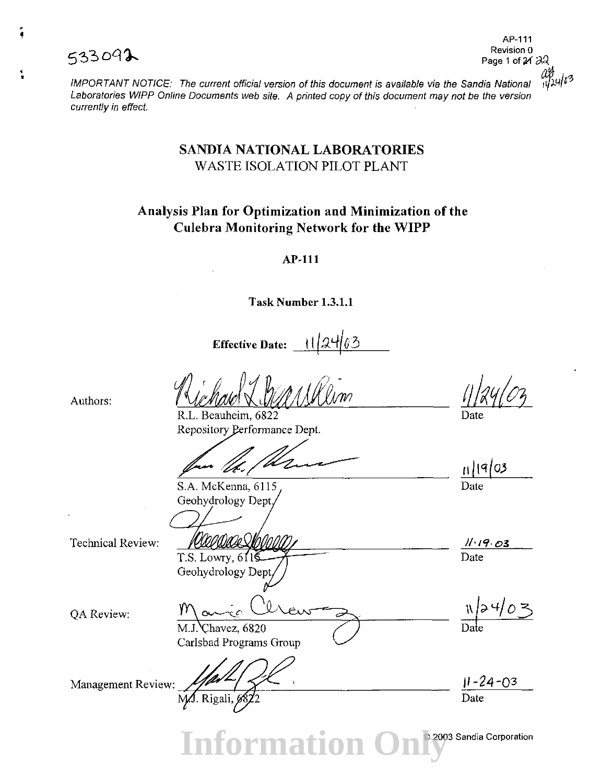

; •

AP-111<br>Revision 0

IMPORTANT NOTICE: The current official version of this document is available via the Sandia National  $\frac{10}{14}$ 0<sup>3</sup> Laboratories WIPP Online Documents web site. A printed copy of this document may not be the version currently in effect.

### SANDIA NATIONAL LABORATORIES WASTE ISOLATION PILOT PLANT

## Analysis Plan for Optimization and Minimization of the Culebra Monitoring Network for the WIPP

AP-111

Task Number 1.3.1.1

Effective Date:

Authors:

R.L. Beauheim, 6822 Repository Performance Dept.

S.A. McKenna, 6115 Geohydrology Dept

Technical Review:

OA Review:

vooaa  $T.S.$  Lowry,  $611\overline{5}$ Geohydrology Dept

//·19·03

Date

Date

 $11|9|03$ 

 $|a4/03|$ 

jl-24-03 Date

Management Review: Hart Collars Shoup

M.J. Chavez, 6820

Carlsbad Programs Group

**Information** © 2003 Sandia Corporation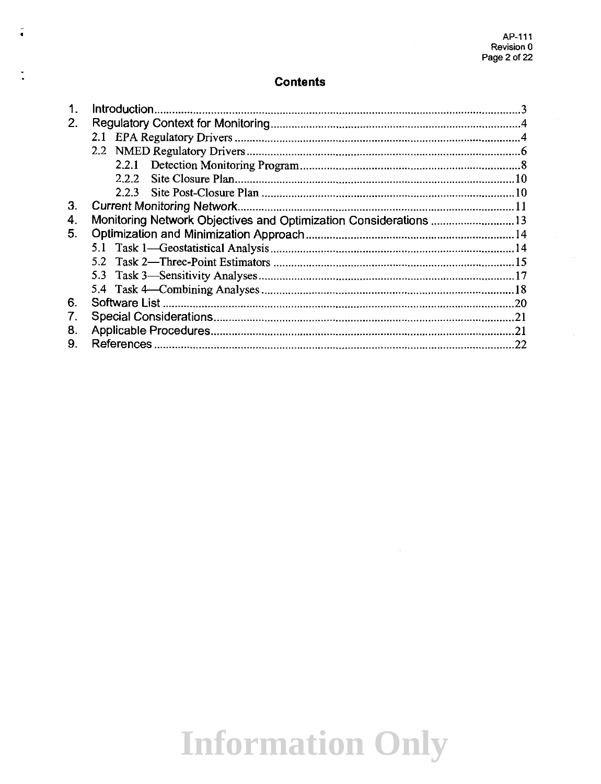$\sim$ 

#### **Contents**

Í.

| 2. |                                                                  |  |
|----|------------------------------------------------------------------|--|
|    |                                                                  |  |
|    |                                                                  |  |
|    |                                                                  |  |
|    | 222                                                              |  |
|    | $223 -$                                                          |  |
| 3. |                                                                  |  |
| 4. | Monitoring Network Objectives and Optimization Considerations 13 |  |
| 5. |                                                                  |  |
|    |                                                                  |  |
|    |                                                                  |  |
|    |                                                                  |  |
|    |                                                                  |  |
| 6. |                                                                  |  |
| 7. |                                                                  |  |
| 8. |                                                                  |  |
| 9. |                                                                  |  |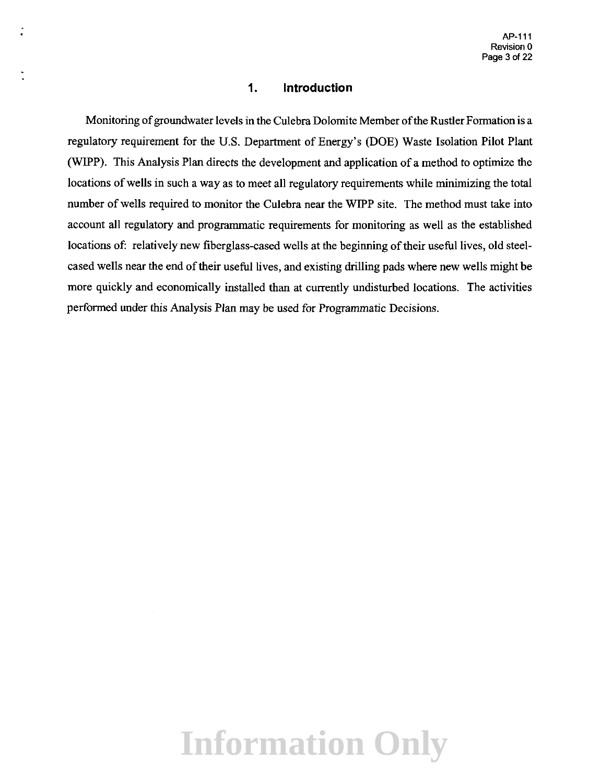#### **1\_ Introduction**

Monitoring of groundwater levels in the Culebra Dolomite Member of the Rustler Formation is a regulatory requirement for the U.S. Department of Energy's (DOE) Waste Isolation Pilot Plant (WIPP). This Analysis Plan directs the development and application of a method to optimize the locations of wells in such a way as to meet all regulatory requirements while minimizing the total number of wells required to monitor the Culebra near the WIPP site. The method must take into account all regulatory and programmatic requirements for monitoring as well as the established locations of: relatively new fiberglass-cased wells at the beginning of their useful lives, old steelcased wells near the end of their useful lives, and existing drilling pads where new wells might be more quickly and economically installed than at currently undisturbed locations. The activities performed under this Analysis Plan may be used for Programmatic Decisions.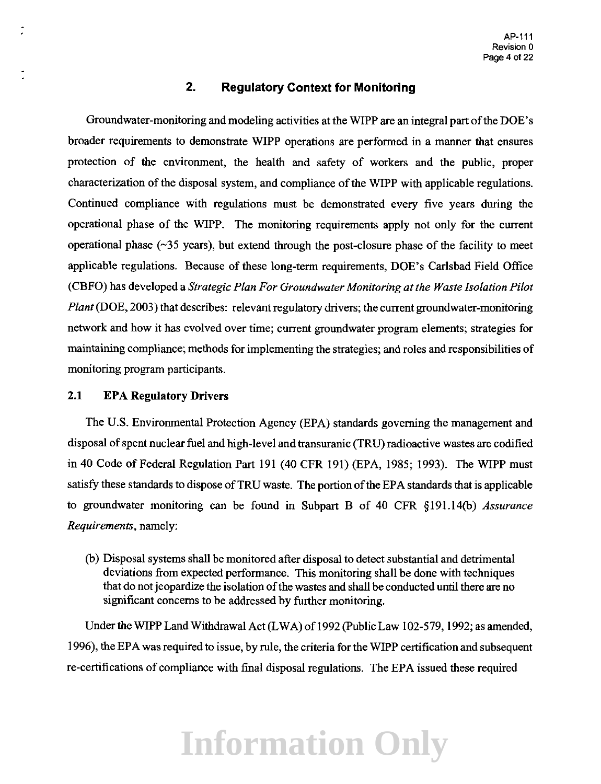### **2. Regulatory Context for Monitoring**

Groundwater-monitoring and modeling activities at the WIPP are an integral part of the DOE's broader requirements to demonstrate WIPP operations are performed in a manner that ensures protection of the environment, the health and safety of workers and the public, proper characterization of the disposal system, and compliance of the WIPP with applicable regulations. Continued compliance with regulations must be demonstrated every five years during the operational phase of the WIPP. The monitoring requirements apply not only for the current operational phase  $(\sim]35$  years), but extend through the post-closure phase of the facility to meet applicable regulations. Because of these long-term requirements, DOE's Carlsbad Field Office (CBFO) has developed a *Strategic Plan For Groundwater Monitoring at the Waste Isolation Pilot Plant* (DOE, 2003) that describes: relevant regulatory drivers; the current groundwater-monitoring network and how it has evolved over time; current groundwater program elements; strategies for maintaining compliance; methods for implementing the strategies; and roles and responsibilities of monitoring program participants.

#### **2.1 EPA Regulatory Drivers**

The U.S. Environmental Protection Agency (EPA) standards governing the management and disposal of spent nuclear fuel and high-level and transuranic (TRU) radioactive wastes are codified in 40 Code of Federal Regulation Part 191 (40 CFR 191) (EPA, 1985; 1993). The WIPP must satisfy these standards to dispose of TRU waste. The portion of the EPA standards that is applicable to groundwater monitoring can be found in Subpart B of 40 CFR §191.14(b) *Assurance Requirements,* namely:

(b) Disposal systems shall be monitored after disposal to detect substantial and detrimental deviations from expected performance. This monitoring shall be done with techniques that do not jeopardize the isolation of the wastes and shall be conducted until there are no significant concerns to be addressed by further monitoring.

Under the WIPP Land Withdrawal Act (LWA) of 1992 (Public Law 102-579, 1992; as amended, 1996), the EPA was required to issue, by rule, the criteria for the WIPP certification and subsequent re-certifications of compliance with final disposal regulations. The EPA issued these required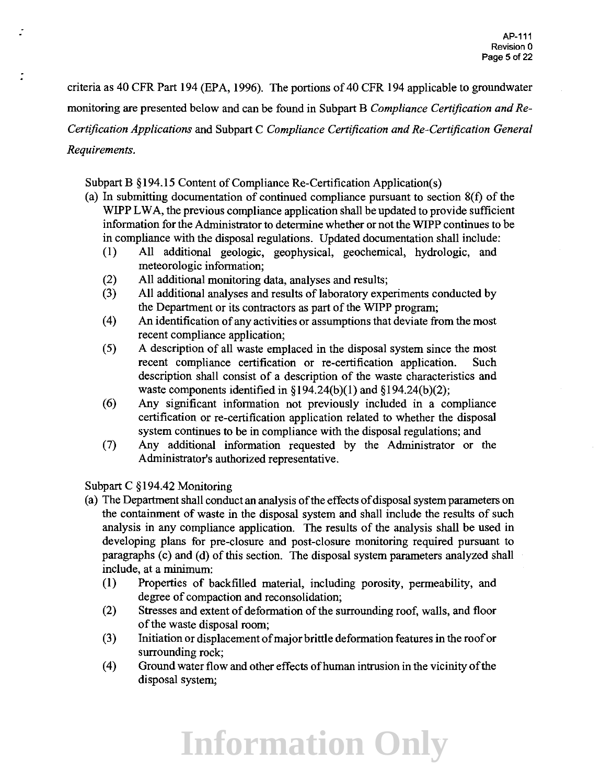criteria as 40 CFR Part 194 (EPA, 1996). The portions of 40 CFR 194 applicable to groundwater monitoring are presented below and can be found in Subpart B *Compliance Certification andRe-Certification Applications* and Subpart C *Compliance Certification and Re-Certification General Requirements.* 

Subpart B §194.15 Content of Compliance Re-Certification Application(s)

- (a) In submitting documentation of continued compliance pursuant to section 8(f) of the WIPP LWA, the previous compliance application shall be updated to provide sufficient information for the Administrator to detennine whether or not the WIPP continues to be in compliance with the disposal regulations. Updated documentation shall include:
	- (1) All additional geologic, geophysical, geochemical, hydrologic, and meteorologic information;
	- (2) All additional monitoring data, analyses and results;
	- (3) All additional analyses and results of laboratory experiments conducted by the Department or its contractors as part of the WIPP program;
	- *(* 4) An identification of any activities or assumptions that deviate from the most recent compliance application;
	- ( 5) A description of all waste emplaced in the disposal system since the most recent compliance certification or re-certification application. Such description shall consist of a description of the waste characteristics and waste components identified in  $\S 194.24(b)(1)$  and  $\S 194.24(b)(2)$ ;
	- ( 6) Any significant information not previously included in a compliance certification or re-certification application related to whether the disposal system continues to be in compliance with the disposal regulations; and
	- (7) Any additional information requested by the Administrator or the Administrator's authorized representative.

Subpart C §194.42 Monitoring

- (a) The Department shall conduct an analysis of the effects of disposal system parameters on the containment of waste in the disposal system and shall include the results of such analysis in any compliance application. The results of the analysis shall be used in developing plans for pre-closure and post-closure monitoring required pursuant to paragraphs (c) and (d) of this section. The disposal system parameters analyzed shall include, at a minimum:
	- (1) Properties of backfilled material, including porosity, permeability, and degree of compaction and reconsolidation;
	- (2) Stresses and extent of deformation of the surrounding roof, walls, and floor of the waste disposal room;
	- (3) Initiation or displacement of major brittle deformation features in the roof or surrounding rock;
	- (4) Ground water flow and other effects ofhuman intrusion in the vicinity of the disposal system;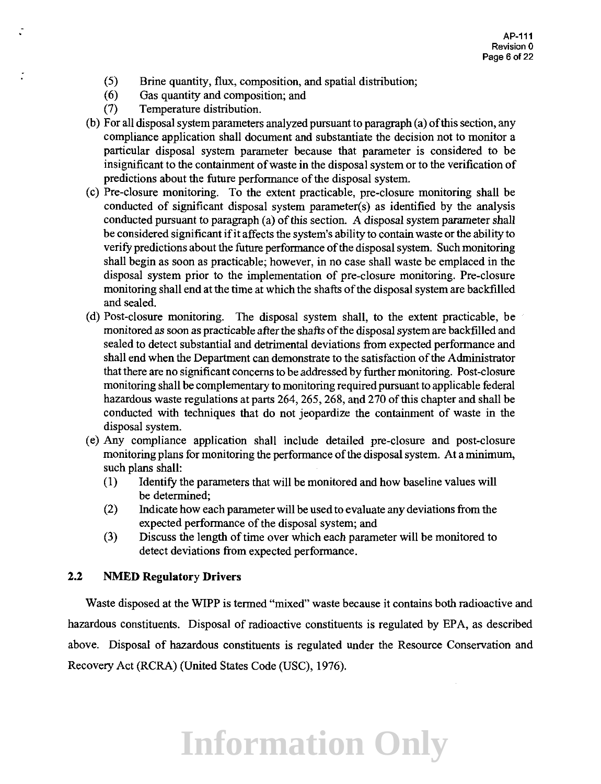- (5) Brine quantity, flux, composition, and spatial distribution;
- ( 6) Gas quantity and composition; and
- (7) Temperature distribution.

Ĵ.

- (b) For all disposal system parameters analyzed pursuant to paragraph (a) of this section, any compliance application shall document and substantiate the decision not to monitor a particular disposal system parameter because that parameter is considered to be insignificant to the containment of waste in the disposal system or to the verification of predictions about the future performance of the disposal system.
- (c) Pre-closure monitoring. To the extent practicable, pre-closure monitoring shall be conducted of significant disposal system parameter(s) as identified by the analysis conducted pursuant to paragraph (a) of this section. A disposal system parameter shall be considered significant if it affects the system's ability to contain waste or the ability to verifY predictions about the future performance of the disposal system. Such monitoring shall begin as soon as practicable; however, in no case shall waste be emplaced in the disposal system prior to the implementation of pre-closure monitoring. Pre-closure monitoring shall end at the time at which the shafts of the disposal system are backfilled and sealed.
- (d) Post-closure monitoring. The disposal system shall, to the extent practicable, be monitored as soon as practicable after the shafts of the disposal system are backfilled and sealed to detect substantial and detrimental deviations from expected performance and shall end when the Department can demonstrate to the satisfaction of the Administrator that there are no significant concerns to be addressed by further monitoring. Post-closure monitoring shall be complementary to monitoring required pursuant to applicable federal hazardous waste regulations at parts 264, 265, 268, and 270 of this chapter and shall be conducted with techniques that do not jeopardize the containment of waste in the disposal system.
- (e) Any compliance application shall include detailed pre-closure and post-closure monitoring plans for monitoring the performance of the disposal system. At a minimum, such plans shall:
	- (1) IdentifY the parameters that will be monitored and how baseline values will be determined;
	- (2) Indicate how each parameter will be used to evaluate any deviations from the expected performance of the disposal system; and
	- (3) Discuss the length of time over which each parameter will be monitored to detect deviations from expected performance.

### **2.2 NMED Regulatory Drivers**

Waste disposed at the WIPP is termed "mixed" waste because it contains both radioactive and hazardous constituents. Disposal of radioactive constituents is regulated by EPA, as described above. Disposal of hazardous constituents is regulated under the Resource Conservation and Recovery Act (RCRA) (United States Code (USC), 1976).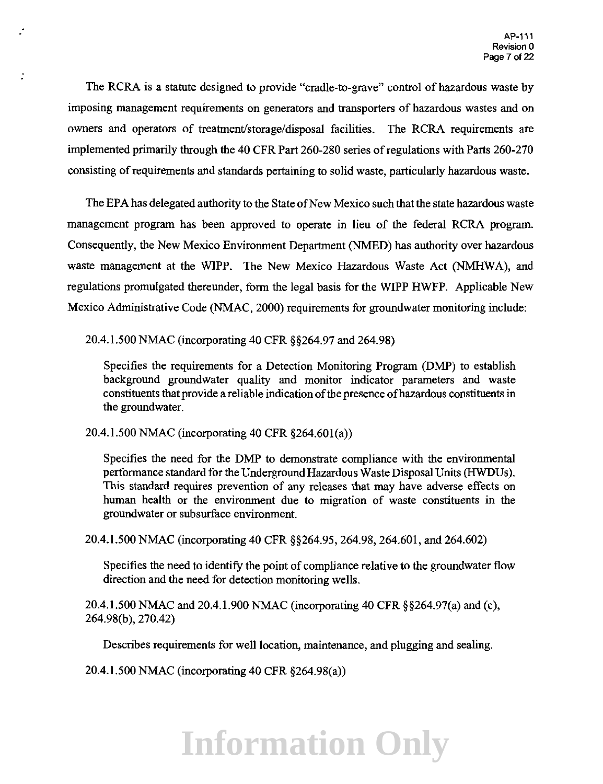The RCRA is a statute designed to provide "cradle-to-grave" control of hazardous waste by imposing management requirements on generators and transporters of hazardous wastes and on owners and operators of treatment/storage/disposal facilities. The RCRA requirements are implemented primarily through the 40 CFR Part 260-280 series of regulations with Parts 260-270 consisting of requirements and standards pertaining to solid waste, particularly hazardous waste.

The EPA has delegated authority to the State of New Mexico such that the state hazardous waste management program has been approved to operate in lieu of the federal RCRA program. Consequently, the New Mexico Environment Department (NMED) has authority over hazardous waste management at the WIPP. The New Mexico Hazardous Waste Act (NMHWA), and regulations promulgated thereunder, form the legal basis for the WIPP HWFP. Applicable New Mexico Administrative Code (NMAC, 2000) requirements for groundwater monitoring include:

20.4.1.500 NMAC (incorporating 40 CFR §§264.97 and 264.98)

Specifies the requirements for a Detection Monitoring Program (DMP) to establish background groundwater quality and monitor indicator parameters and waste constituents that provide a reliable indication of the presence ofhazardous constituents in the groundwater.

20.4.1.500 NMAC (incorporating 40 CFR §264.60l(a))

Ĵ.

Specifies the need for the DMP to demonstrate compliance with the environmental performance standard for the Underground Hazardous Waste Disposal Units (HWDUs ). This standard requires prevention of any releases that may have adverse effects on human health or the environment due to migration of waste constituents in the groundwater or subsurface environment.

20.4.1.500 NMAC (incorporating 40 CFR §§264.95, 264.98,264.601, and 264.602)

Specifies the need to identify the point of compliance relative to the groundwater flow direction and the need for detection monitoring wells.

20.4.1.500 NMAC and 20.4.1.900 NMAC (incorporating 40 CFR §§264.97(a) and (c), 264.98(b), 270.42)

Describes requirements for well location, maintenance, and plugging and sealing.

20.4.1.500 NMAC (incorporating 40 CFR §264.98(a))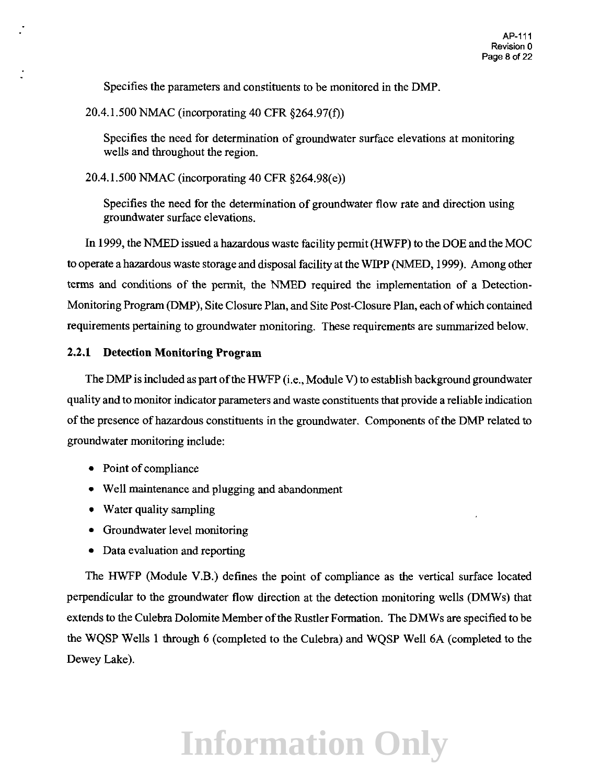Specifies the parameters and constituents to be monitored in the DMP.

20.4.1.500 NMAC (incorporating 40 CFR §264.97(f))

Specifies the need for determination of groundwater snrface elevations at monitoring wells and throughout the region.

20.4.1.500 NMAC (incorporating 40 CFR §264.98(e))

Specifies the need for the determination of groundwater flow rate and direction using groundwater surface elevations.

In 1999, the NMED issued a hazardous waste facility permit (HWFP) to the DOE and the MOC to operate a hazardous waste storage and disposal facility at the WIPP (NMED, 1999). Among other terms and conditions of the permit, the NMED required the implementation of a Detection-Monitoring Program (DMP), Site Closure Plan, and Site Post-Closure Plan, each of which contained requirements pertaining to groundwater monitoring. These requirements are summarized below.

### **2.2.1 Detection Monitoring Program**

The DMP is included as part of the HWFP (i.e., Module V) to establish background groundwater quality and to monitor indicator parameters and waste constituents that provide a reliable indication of the presence of hazardous constituents in the groundwater. Components of the DMP related to groundwater monitoring include:

- Point of compliance
- Well maintenance and plugging and abandonment
- Water quality sampling
- Groundwater level monitoring
- Data evaluation and reporting

The HWFP (Module V.B.) defines the point of compliance as the vertical surface located perpendicular to the groundwater flow direction at the detection monitoring wells (DMWs) that extends to the Culebra Dolomite Member of the Rustler Formation. The DMWs are specified to be the WQSP Wells 1 through 6 (completed to the Culebra) and WQSP Well 6A (completed to the Dewey Lake).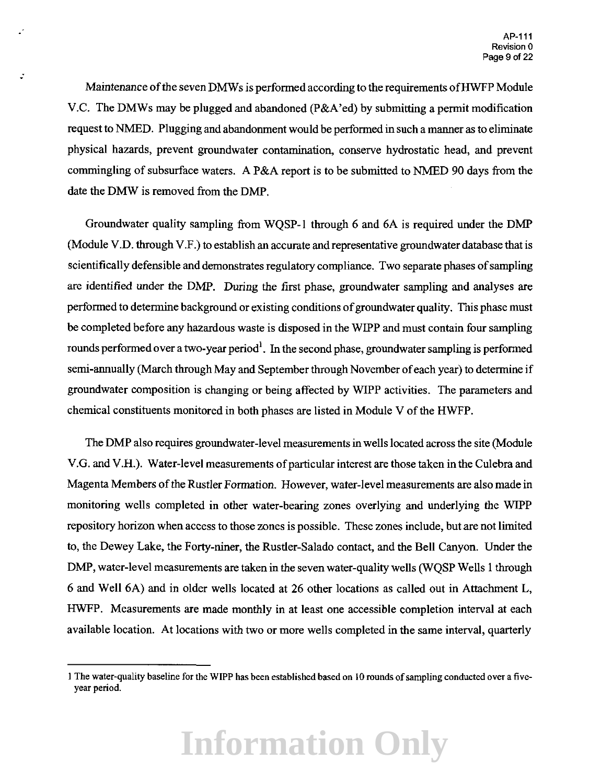Maintenance of the seven DMWs is performed according to the requirements of HWFP Module V.C. The DMWs may be plugged and abandoned (P&A'ed) by submitting a permit modification request to NMED. Plugging and abandonment would be performed in such a manner as to eliminate physical hazards, prevent groundwater contamination, conserve hydrostatic head, and prevent commingling of subsurface waters. A P&A report is to be submitted to NMED 90 days from the date the DMW is removed from the DMP.

-·

Groundwater quality sampling from WQSP-1 through 6 and 6A is required under the DMP (Module V.D. through V.F.) to establish an accurate and representative groundwater database that is scientifically defensible and demonstrates regulatory compliance. Two separate phases of sampling are identified under the DMP. During the first phase, groundwater sampling and analyses are performed to determine background or existing conditions of groundwater quality. This phase must be completed before any hazardous waste is disposed in the WIPP and must contain four sampling rounds performed over a two-year period<sup>1</sup>. In the second phase, groundwater sampling is performed semi-annually (March through May and September through November of each year) to determine if groundwater composition is changing or being affected by WIPP activities. The parameters and chemical constituents monitored in both phases are listed in Module V of the HWFP.

The DMP also requires groundwater-level measurements in wells located across the site (Module V.G. and V.H.). Water-level measurements of particular interest are those taken in the Culebra and Magenta Members of the Rustler Formation. However, water-level measurements are also made in monitoring wells completed in other water-bearing zones overlying and underlying the WIPP repository horizon when access to those zones is possible. These zones include, but are not limited to, the Dewey Lake, the Forty-niner, the Rustler-Salado contact, and the Bell Canyon. Under the DMP, water-level measurements are taken in the seven water-quality wells (WQSP Wells 1 through 6 and Well 6A) and in older wells located at 26 other locations as called out in Attachment L, HWFP. Measurements are made monthly in at least one accessible completion interval at each available location. At locations with two or more wells completed in the same interval, quarterly

I The water-quality baseline for the WIPP has been established based on I 0 rounds of sampling conducted over a fiveyear period.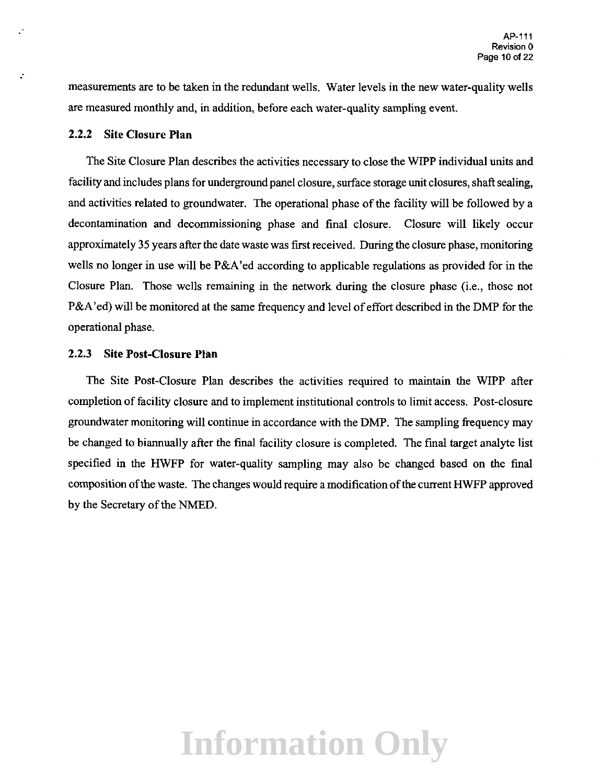measurements are to be taken in the redundant wells. Water levels in the new water-quality wells are measured monthly and, in addition, before each water-quality sampling event

### 2.2.2 Site Closure **Plan**

--

The Site Closure Plan describes the activities necessary to close the WIPP individual units and facility and includes plans for underground panel closure, surface storage unit closures, shaft sealing, and activities related to groundwater. The operational phase of the facility will be followed by a decontamination and decommissioning phase and final closure. Closure will likely occur approximately 35 years after the date waste was first received. During the closure phase, monitoring wells no longer in use will be P&A'ed according to applicable regulations as provided for in the Closure Plan. Those wells remaining in the network during the closure phase (i.e., those not P&A' ed) will be monitored at the same frequency and level of effort described in the DMP for the operational phase.

#### 2.2.3 Site Post-Closure **Phm**

The Site Post-Closure Plan describes the activities required to maintain the WIPP after completion of facility closure and to implement institutional controls to limit access. Post-closure groundwater monitoring will continue in accordance with the DMP. The sampling frequency may be changed to biannually after the final facility closure is completed. The final target analyte list specified in the HWFP for water-quality sampling may also be changed based on the final composition of the waste. The changes would require a modification of the current HWFP approved by the Secretary of the NMED.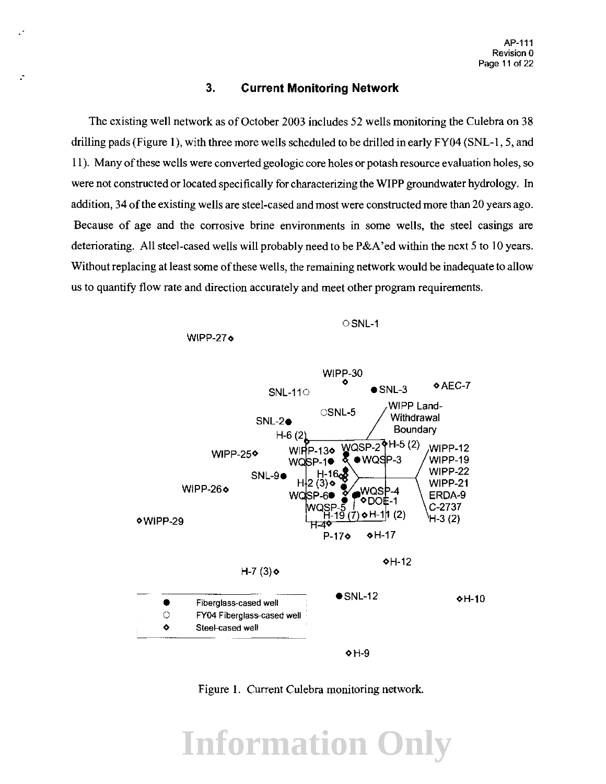#### 3. **Current Monitoring Network**

The existing well network as of October 2003 includes 52 wells monitoring the Culebra on 38 drilling pads (Figure 1), with three more wells scheduled to be drilled in early FY04 (SNL-1, 5, and II). Many of these wells were converted geologic core holes or potash resource evaluation holes, so were not constructed or located specifically for characterizing the WIPP groundwater hydrology. In addition, 34 of the existing wells are steel-cased and most were constructed more than 20 years ago. Because of age and the corrosive brine environments in some wells, the steel casings are deteriorating. All steel-cased wells will probably need to be P&A'ed within the next 5 to 10 years. Without replacing at least some of these wells, the remaining network would be inadequate to allow us to quantify flow rate and direction accurately and meet other program requirements.

OSNL-1







Figure I. Current Culebra monitoring network.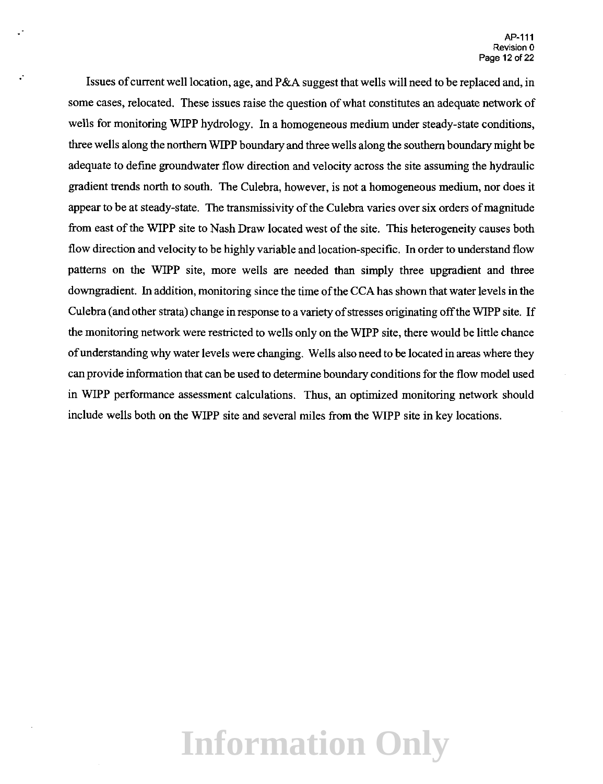Issues of current well location, age, and P&A suggest that wells will need to be replaced and, in some cases, relocated. These issues raise the question of what constitutes an adequate network of wells for monitoring WIPP hydrology. In a homogeneous medium under steady-state conditions, three wells along the northern WIPP boundary and three wells along the southern boundary might be adequate to define groundwater flow direction and velocity across the site assuming the hydraulic gradient trends north to south. The Culebra, however, is not a homogeneous medium, nor does it appear to be at steady-state. The transmissivity of the Culebra varies over six orders of magnitude from east of the WIPP site to Nash Draw located west of the site. This heterogeneity causes both flow direction and velocity to be highly variable and location-specific. In order to understand flow patterns on the WIPP site, more wells are needed than simply three upgradient and three downgradient. In addition, monitoring since the time of the CCA has shown that water levels in the Culebra (and other strata) change in response to a variety of stresses originating off the WIPP site. If the monitoring network were restricted to wells only on the WIPP site, there would be little chance of understanding why water levels were changing. Wells also need to be located in areas where they can provide information that can be used to determine boundary conditions for the flow model used in WIPP performance assessment calculations. Thus, an optimized monitoring network should include wells both on the WIPP site and several miles from the WIPP site in key locations.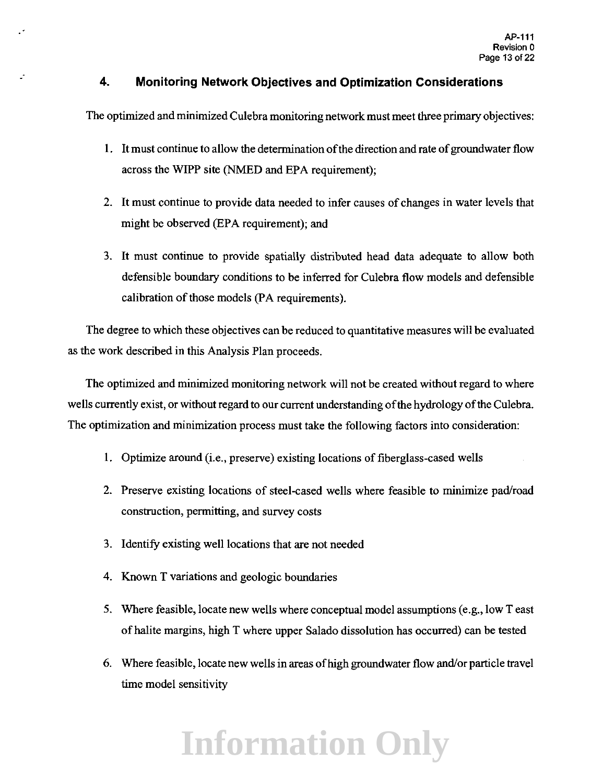### **4\_ Monitoring Network Objectives and Optimization Considerations**

 $\cdot$ 

The optimized and minimized Culebra monitoring network must meet three primary objectives:

- 1. It must continue to allow the determination of the direction and rate of groundwater flow across tbe WIPP site (NMED and EPA requirement);
- 2. It must continue to provide data needed to infer causes of changes in water levels that might be observed (EPA requirement); and
- 3. It must continue to provide spatially distributed head data adequate to allow both defensible boundary conditions to be inferred for Culebra flow models and defensible calibration of those models (PA requirements).

The degree to which these objectives can be reduced to quantitative measures will be evaluated as the work described in this Analysis Plan proceeds.

The optimized and minimized monitoring network will not be created without regard to where wells currently exist, or without regard to our current understanding of the hydrology of the Culebra. The optimization and minimization process must take the following factors into consideration:

- I. Optimize around (i.e., preserve) existing locations of fiberglass-cased wells
- 2. Preserve existing locations of steel-cased wells where feasible to minimize pad/road construction, permitting, and survey costs
- 3. Identify existing well locations that are not needed
- 4. Known T variations and geologic boundaries
- 5. Where feasible, locate new wells where conceptual model assumptions (e.g., low T east of halite margins, high T where upper Salado dissolution has occurred) can be tested
- 6. Where feasible, locate new wells in areas ofhigh groundwater flow and/or particle travel time model sensitivity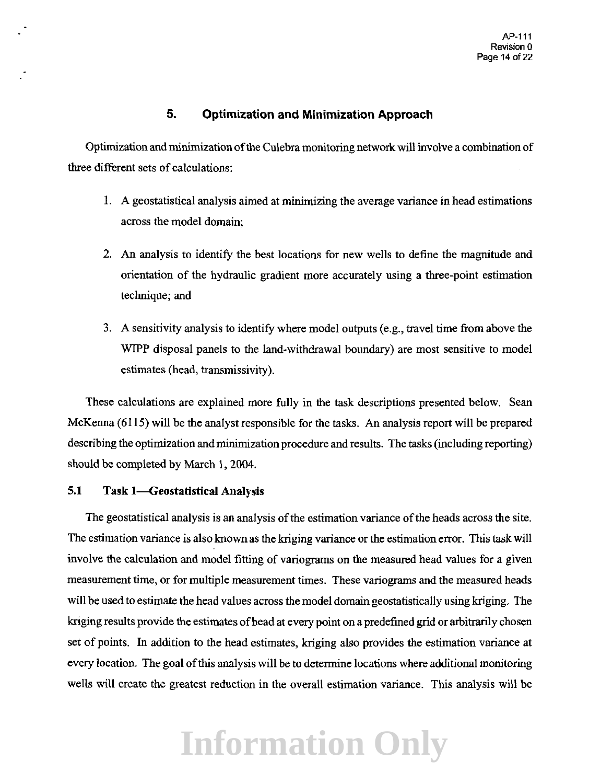### **5. Optimization and Minimization Approach**

Optimization and minimization of the Culebra monitoring network will involve a combination of three different sets of calculations:

- 1. A geostatistical analysis aimed at minimizing the average variance in head estimations across the model domain;
- 2. An analysis to identify the best locations for new wells to define the magnitude and orientation of the hydraulic gradient more accurately using a three-point estimation technique; and
- 3. A sensitivity analysis to identify where model outputs (e.g., travel time from above the WIPP disposal panels to the land-withdrawal boundary) are most sensitive to model estimates (head, transmissivity).

These calculations are explained more fully in the task descriptions presented below. Sean McKenna (6115) will be the analyst responsible for the tasks. An analysis report will be prepared describing the optimization and minimization procedure and results. The tasks (including reporting) should be completed by March 1, 2004.

### **5.1 Task 1-Geostatistical Analysis**

The geostatistical analysis is an analysis of the estimation variance of the heads across the site. The estimation variance is also known as the kriging variance or the estimation error. This task will involve the calculation and model fitting of variograms on the measured head values for a given measurement time, or for multiple measurement times. These variograms and the measured heads will be used to estimate the head values across the model domain geostatistically using kriging. The kriging results provide the estimates of head at every point on a predefined grid or arbitrarily chosen set of points. In addition to the head estimates, kriging also provides the estimation variance at every location. The goal of this analysis will be to determine locations where additional monitoring wells will create the greatest reduction in the overall estimation variance. This analysis will be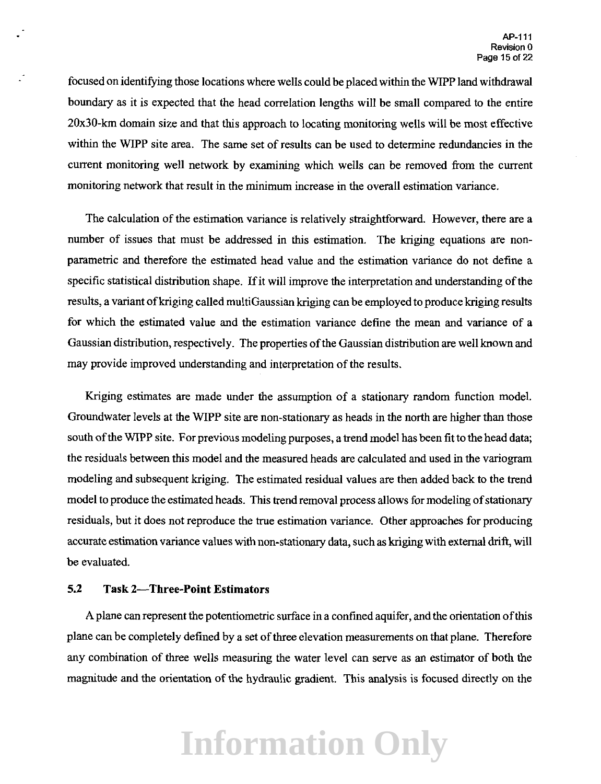focused on identifying those locations where wells could be placed within the WIPP land withdrawal boundary as it is expected that the head correlation lengths will be small compared to the entire 20x30-km domain size and that this approach to locating monitoring wells will be most effective within the WIPP site area. The same set of results can be used to determine redundancies in the current monitoring well network by examining which wells can be removed from the current monitoring network that result in the minimum increase in the overall estimation variance.

The calculation of the estimation variance is relatively straightforward. However, there are a number of issues that must be addressed in this estimation. The kriging equations are nonparametric and therefore the estimated head value and the estimation variance do not define a specific statistical distribution shape. If it will improve the interpretation and understanding of the results, a variant of kriging called multi Gaussian kriging can be employed to produce kriging results for which the estimated value and the estimation variance define the mean and variance of a Gaussian distribution, respectively. The properties of the Gaussian distribution are well known and may provide improved understanding and interpretation of the results.

Kriging estimates are made under the assumption of a stationary random function model. Groundwater levels at the WIPP site are non-stationary as heads in the north are higher than those south of the WIPP site. For previous modeling purposes, a trend model has been fit to the head data; the residuals between this model and the measured heads are calculated and used in the variogram modeling and subsequent kriging. The estimated residual values are then added back to the trend model to produce the estimated heads. This trend removal process allows for modeling of stationary residuals, but it does not reproduce the true estimation variance. Other approaches for producing accurate estimation variance values with non-stationary data, such as kriging with external drift, will be evaluated.

#### 5.2 **Task 2-Three-Point Estimators**

A plane can represent the potentiometric surface in a confined aquifer, and the orientation of this plane can be completely defined by a set of three elevation measurements on that plane. Therefore any combination of three wells measuring the water level can serve as an estimator of both the maguitude and the orientation of the hydraulic gradient. This analysis is focused directly on the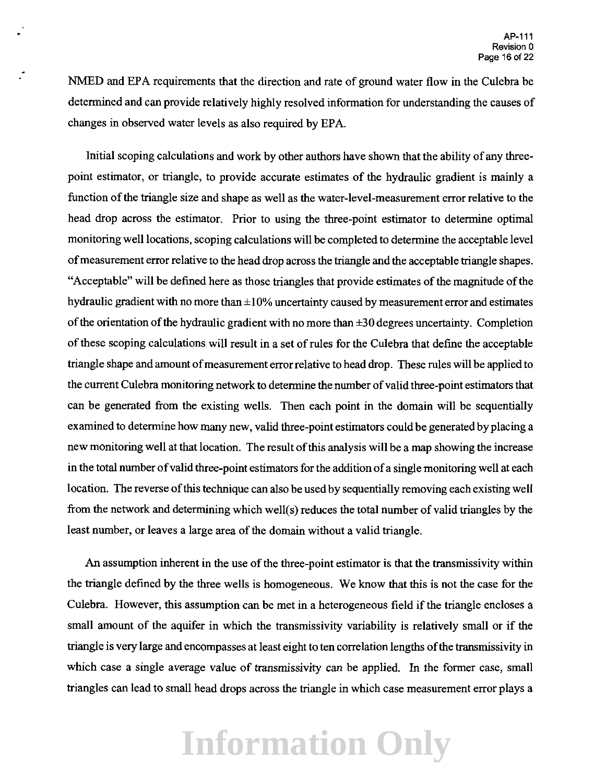NMED and EPA requirements that the direction and rate of ground water flow in the Culebra be determined and can provide relatively highly resolved information for understanding the causes of changes in observed water levels as also required by EPA.

Initial scoping calculations and work by other authors have shown that the ability of any threepoint estimator, or triangle, to provide accurate estimates of the hydraulic gradient is mainly a function of the triangle size and shape as well as the water-level-measurement error relative to the head drop across the estimator. Prior to using the three-point estimator to determine optimal monitoring well locations, scoping calculations will be completed to determine the acceptable level of measurement error relative to the head drop across the triangle and the acceptable triangle shapes. "Acceptable" will be defined here as those triangles that provide estimates of the magnitude of the hydraulic gradient with no more than  $\pm 10\%$  uncertainty caused by measurement error and estimates of the orientation of the hydraulic gradient with no more than  $\pm 30$  degrees uncertainty. Completion of these scoping calculations will result in a set of rules for the Culebra that define the acceptable triangle shape and amount of measurement error relative to head drop. These rules will be applied to the current Culebra monitoring network to determine the number of valid three-point estimators that can be generated from the existing wells. Then each point in the domain will be sequentially examined to determine how many new, valid three-point estimators could be generated by placing a new monitoring well at that location. The result of this analysis will be a map showing the increase in the total number of valid three-point estimators for the addition of a single monitoring well at each location. The reverse of this technique can also be used by sequentially removing each existing well from the network and determining which well(s) reduces the total number of valid triangles by the least number, or leaves a large area of the domain without a valid triangle.

An assumption inherent in the use of the three-point estimator is that the transmissivity within the triangle defined by the three wells is homogeneous. We know that this is not the case for the Culebra. However, this assumption can be met in a heterogeneous field if the triangle encloses a small amount of the aquifer in which the transmissivity variability is relatively small or if the triangle is very large and encompasses at least eight to ten correlation lengths of the transmissivity in which case a single average value of transmissivity can be applied. In the former case, small triangles can lead to small head drops across the triangle in which case measurement error plays a

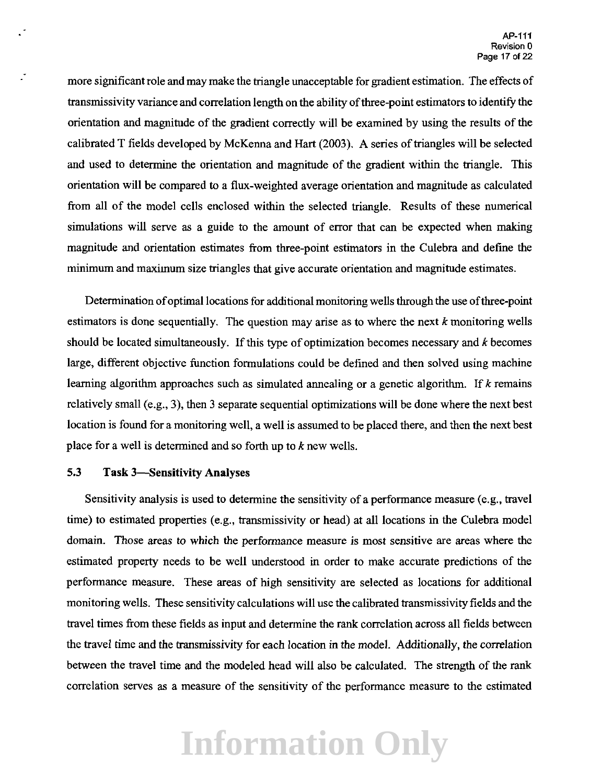more significant role and may make the triangle unacceptable for gradient estimation. The effects of transmissivity variance and correlation length on the ability of three-point estimators to identify the orientation and magnitude of the gradient correctly will be examined by using the results of the calibrated T fields developed by McKenna and Hart (2003). A series of triangles will be selected and used to determine the orientation and magnitude of the gradient within the triangle. This orientation will be compared to a flux-weighted average orientation and magnitude as calculated from all of the model cells enclosed within the selected triangle. Results of these numerical simulations will serve as a guide to the amount of error that can be expected when making magnitude and orientation estimates from three-point estimators in the Culebra and define the minimum and maximum size triangles that give accurate orientation and magnitude estimates.

Determination of optimal locations for additional monitoring wells through the use of three-point estimators is done sequentially. The question may arise as to where the next *k* monitoring wells should be located simultaneously. If this type of optimization becomes necessary and  $k$  becomes large, different objective function formulations could be defined and then solved using machine learning algorithm approaches such as simulated annealing or a genetic algorithm. If *k* remains relatively small (e.g., 3), then 3 separate sequential optimizations will be done where the next best location is found for a monitoring well, a well is assumed to be placed there, and then the next best place for a well is determined and so forth up to *k* new wells.

### 5.3 Task 3-Sensitivity Analyses

Sensitivity analysis is used to determine the sensitivity of a performance measure (e.g., travel time) to estimated properties (e.g., transmissivity or head) at all locations in the Culebra model domain. Those areas to which the performance measure is most sensitive are areas where the estimated property needs to be well understood in order to make accurate predictions of the performance measure. These areas of high sensitivity are selected as locations for additional monitoring wells. These sensitivity calculations will use the calibrated transmissivity fields and the travel times from these fields as input and determine the rank correlation across all fields between the travel time and the transmissivity for each location in the model. Additionally, the correlation between the travel time and the modeled head will also be calculated. The strength of the rank correlation serves as a measure of the sensitivity of the performance measure to the estimated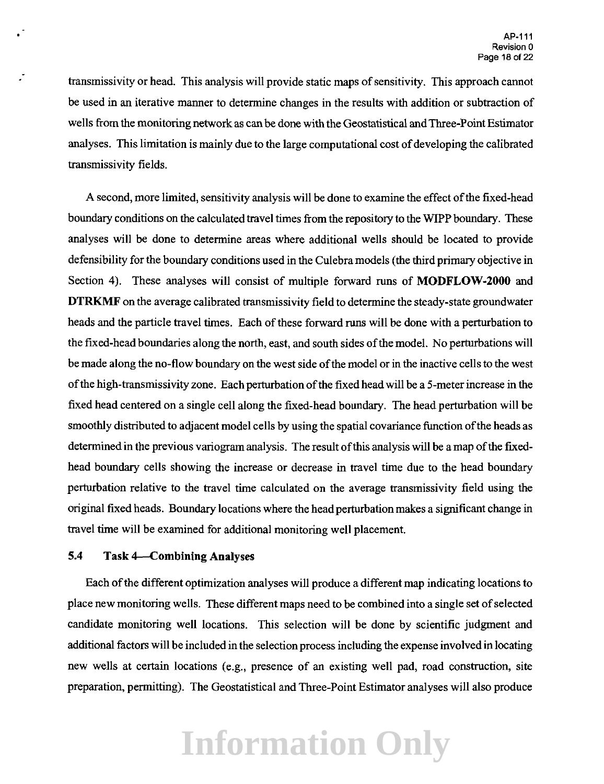transmissivity or head. This analysis will provide static maps of sensitivity. This approach cannot be used in an iterative manner to determine changes in the results with addition or subtraction of wells from the monitoring network as can be done with the Geostatistical and Three-Point Estimator analyses. This limitation is mainly due to the large computational cost of developing the calibrated transmissivity fields.

A second, more limited, sensitivity analysis will be done to examine the effect of the fixed-head boundary conditions on the calculated travel times from the repository to the WIPP boundary. These analyses will be done to determine areas where additional wells should be located to provide defensibility for the boundary conditions used in the Culebra models (the third primary objective in Section 4). These analyses will consist of multiple forward runs of **MODFLOW-2000** and **DTRKMF** on the average calibrated transmissivity field to determine the steady-state groundwater heads and the particle travel times. Each of these forward runs will be done with a perturbation to the fixed-head boundaries along the north, east, and south sides of the model. No perturbations will be made along the no-flow boundary on the west side of the model or in the inactive cells to the west of the high-transmissivity zone. Each perturbation of the fixed head will be a 5-meter increase in the fixed head centered on a single cell along the fixed-head boundary. The head perturbation will be smoothly distributed to adjacent model cells by using the spatial covariance function of the heads as determined in the previous variogram analysis. The result of this analysis will be a map of the fixedhead boundary cells showing the increase or decrease in travel time due to the head boundary perturbation relative to the travel time calculated on the average transmissivity field using the original fixed heads. Boundary locations where the head perturbation makes a significant change in travel time will be examined for additional monitoring well placement.

### **5.4 Task 4-Combining Analyses**

Each of the different optimization analyses will produce a different map indicating locations to place new monitoring wells. These different maps need to be combined into a single set of selected candidate monitoring well locations. This selection will be done by scientific judgment and additional factors will be included in the selection process including the expense involved in locating new wells at certain locations (e.g., presence of an existing well pad, road construction, site preparation, permitting). The Geostatistical and Three-Point Estimator analyses will also produce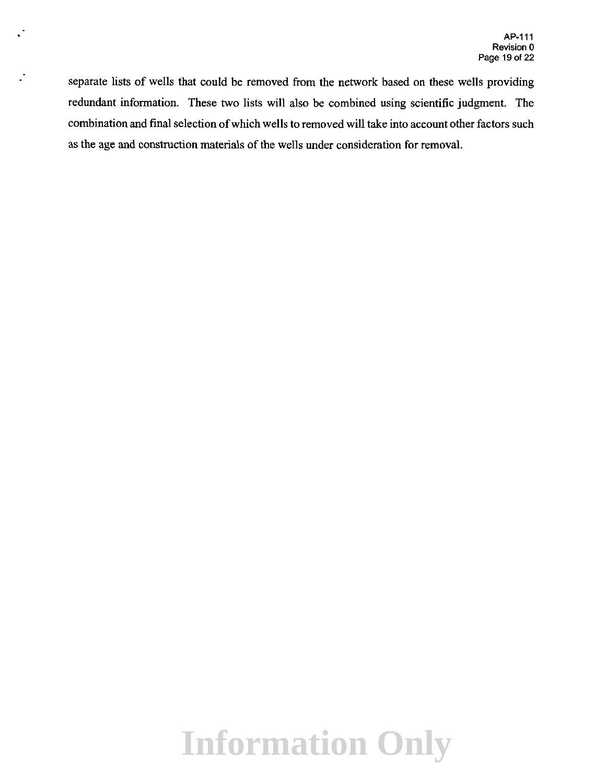separate lists of wells that could be removed from the network based on these wells providing redundant information. These two lists will also be combined using scientific judgment. The combination and final selection of which wells to removed will take into account other factors such as the age and construction materials of the wells under consideration for removal.

Ž,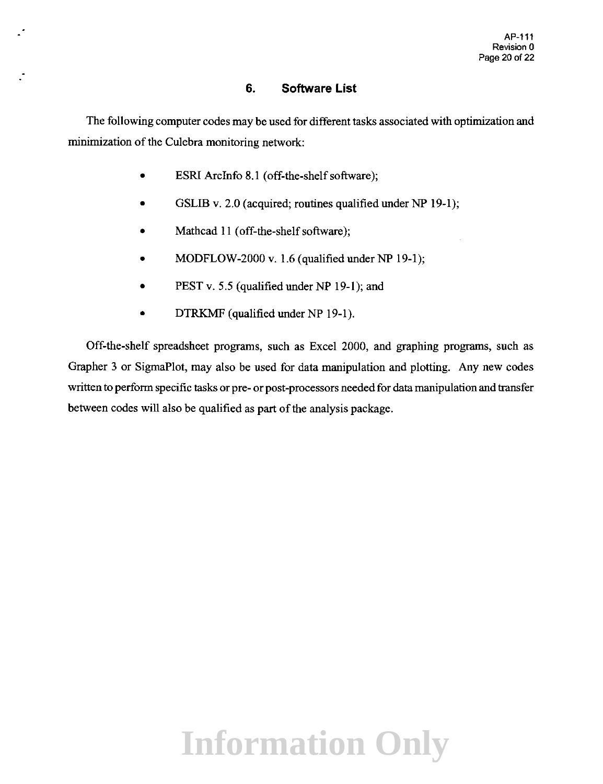### **6. Software List**

The following computer codes may be used for different tasks associated with optimization and minimization of the Culebra monitoring network:

- ESRI ArcInfo 8.1 (off-the-shelf software);
- GSLIB v. 2.0 (acquired; routines qualified under NP 19-1);
- Mathcad 11 (off-the-shelf software);
- MODFLOW-2000 v. 1.6 (qualified under NP 19-1);
- PEST v. 5.5 (qualified under NP 19-1); and
- DTRKMF (qualified under NP 19-1).

Off-the-shelf spreadsheet programs, such as Excel 2000, and graphing programs, such as Grapher 3 or SigmaPlot, may also be used for data manipulation and plotting. Any new codes written to perform specific tasks or pre- or post-processors needed for data manipulation and transfer between codes will also be qualified as part of the analysis package.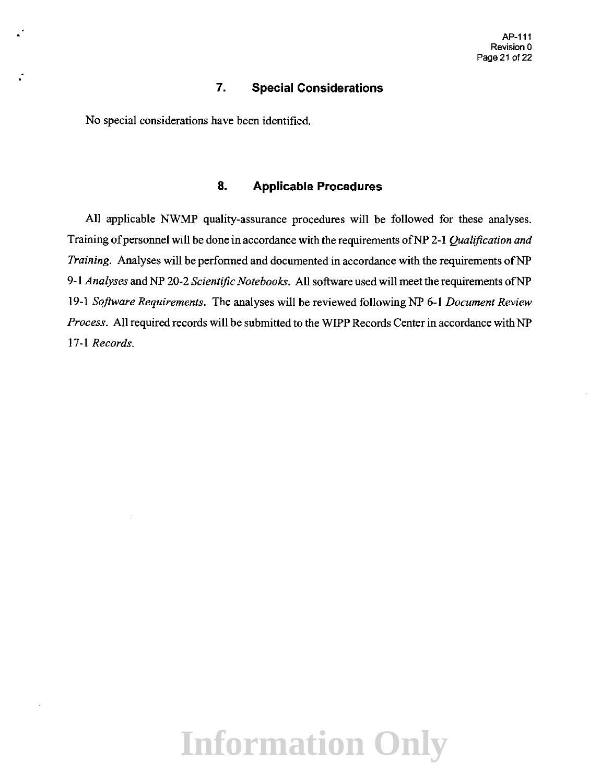### **7. Special Considerations**

No special considerations have been identified.

### **8. Applicable Procedures**

All applicable NWMP quality-assurance procedures will be followed for these analyses. Training of personnel will be done in accordance with the requirements of NP 2-1 *Qualification and Training.* Analyses will be performed and documented in accordance with the requirements ofNP 9-1 *Analyses* and NP 20-2 *Scientific Notebooks.* All software used will meet the requirements ofNP 19-1 *Software Requirements.* The analyses will be reviewed following NP 6-1 *Document Review Process.* All required records will be submitted to the WIPP Records Center in accordance with NP 17-1 *Records.*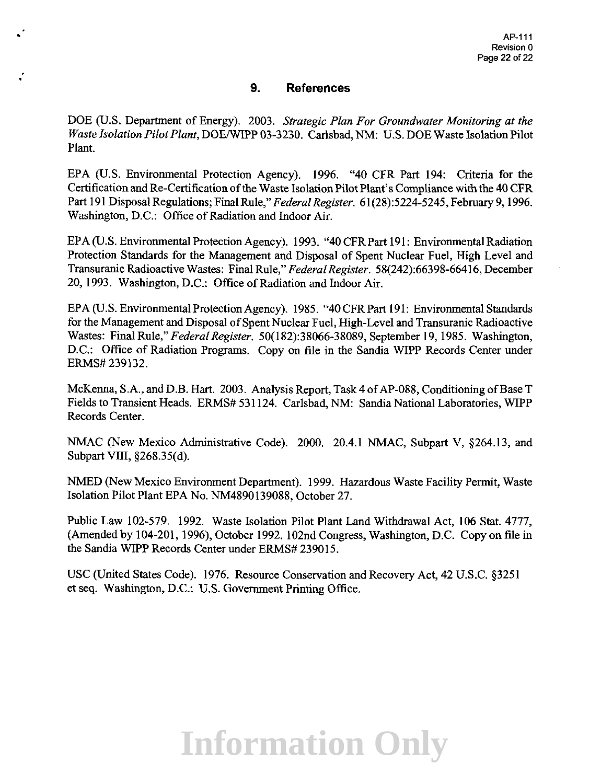### **9. References**

•

DOE (U.S. Department of Energy). 2003. *Strategic Plan For Groundwater Monitoring at the Waste Isolation Pilot Plant, DOE/WIPP 03-3230. Carlsbad, NM: U.S. DOE Waste Isolation Pilot* Plant.

EPA (U.S. Environmental Protection Agency). 1996. "40 CFR Part 194: Criteria for the Certification and Re-Certification of the Waste Isolation Pilot Plant's Compliance with the 40 CFR Part 191 Disposal Regulations; Final Rule," *Federal Register.* 61 (28):5224-5245, February 9, 1996. Washington, D.C.: Office of Radiation and Indoor Air.

EPA (U.S. Environmental Protection Agency). 1993. "40 CFR Part 191: Environmental Radiation Protection Standards for the Management and Disposal of Spent Nuclear Fuel, High Level and Transuranic Radioactive Wastes: Final Rule," *Federal Register.* 58(242):66398-66416, December 20, 1993. Washington, D.C.: Office of Radiation and Indoor Air.

EPA (U.S. Environmental Protection Agency). 1985. "40 CFR Part 191: Environmental Standards for the Management and Disposal of Spent Nuclear Fuel, High-Level and Transuranic Radioactive Wastes: Final Rule," *Federal Register.* 50(182):38066-38089, September 19, 1985. Washington, D.C.: Office of Radiation Programs. Copy on file in the Sandia WIPP Records Center under ERMS# 239132.

McKenna, S.A., and D.B. Hart. 2003. Analysis Report, Task 4 of AP-088, Conditioning of Base T Fields to Transient Heads. ERMS# 531124. Carlsbad, NM: Sandia National Laboratories, WIPP Records Center.

NMAC (New Mexico Administrative Code). 2000. 20.4.1 NMAC, Subpart V, §264.13, and Subpart VIII, §268.35(d).

NMED (New Mexico Environment Department). 1999. Hazardous Waste Facility Permit, Waste Isolation Pilot Plant EPA No. NM4890139088, October 27.

Public Law 102-579. 1992. Waste Isolation Pilot Plant Land Withdrawal Act, 106 Stat. 4777, (Amended by 104-201, 1996), October 1992. 102nd Congress, Washington, D.C. Copy on file in the Sandia WIPP Records Center under ERMS# 239015.

USC (United States Code). 1976. Resource Conservation and Recovery Act, 42 U.S.C. §3251 et seq. Washington, D.C.: U.S. Government Printing Office.